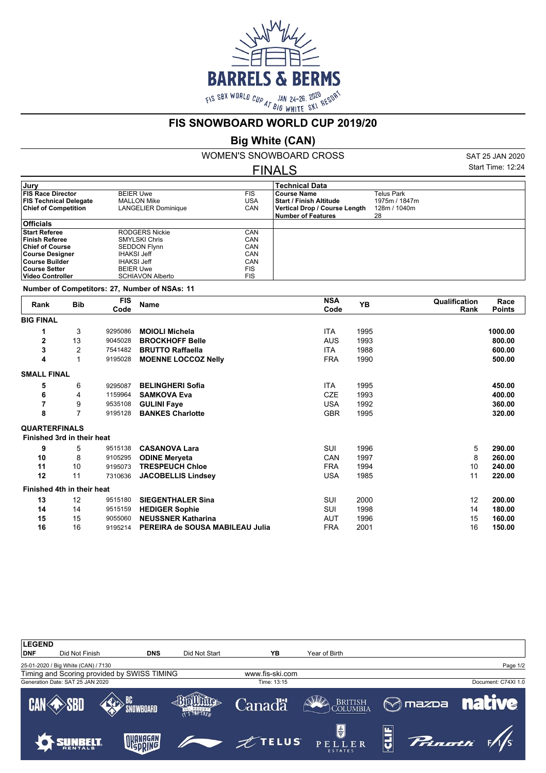

## **FIS SNOWBOARD WORLD CUP 2019/20**

## **Big White (CAN)**

WOMEN'S SNOWBOARD CROSS FINALS

SAT 25 JAN 2020 Start Time: 12:24

| Jury                          |                            |            | <b>Technical Data</b>          |               |  |
|-------------------------------|----------------------------|------------|--------------------------------|---------------|--|
| <b>FIS Race Director</b>      | <b>BEIER Uwe</b>           | <b>FIS</b> | l Course Name                  | Telus Park    |  |
| <b>FIS Technical Delegate</b> | <b>MALLON Mike</b>         | USA        | <b>Start / Finish Altitude</b> | 1975m / 1847m |  |
| <b>Chief of Competition</b>   | <b>LANGELIER Dominique</b> | CAN        | Vertical Drop / Course Length  | 128m / 1040m  |  |
|                               |                            |            | Number of Features             | 28            |  |
| <b>Officials</b>              |                            |            |                                |               |  |
| <b>Start Referee</b>          | <b>RODGERS Nickie</b>      | CAN        |                                |               |  |
| Finish Referee                | <b>SMYLSKI Chris</b>       | CAN        |                                |               |  |
| <b>Chief of Course</b>        | <b>SEDDON Flynn</b>        | CAN        |                                |               |  |
| Course Designer               | <b>IHAKSI Jeff</b>         | CAN        |                                |               |  |
| ∣Course Builder               | <b>IHAKSI Jeff</b>         | CAN        |                                |               |  |
| ∣Course Setter                | <b>BEIER Uwe</b>           | <b>FIS</b> |                                |               |  |
| ∣Video Controller             | <b>SCHIAVON Alberto</b>    | <b>FIS</b> |                                |               |  |
|                               |                            |            |                                |               |  |

**Number of Competitors: 27, Number of NSAs: 11**

| Rank                 | <b>Bib</b>                 | <b>FIS</b><br>Code | <b>Name</b>                     | <b>NSA</b><br>Code | <b>YB</b> | Qualification<br>Rank | Race<br><b>Points</b> |
|----------------------|----------------------------|--------------------|---------------------------------|--------------------|-----------|-----------------------|-----------------------|
| <b>BIG FINAL</b>     |                            |                    |                                 |                    |           |                       |                       |
| 1                    | 3                          | 9295086            | <b>MOIOLI Michela</b>           | <b>ITA</b>         | 1995      |                       | 1000.00               |
| $\overline{2}$       | 13                         | 9045028            | <b>BROCKHOFF Belle</b>          | <b>AUS</b>         | 1993      |                       | 800.00                |
| 3                    | 2                          | 7541482            | <b>BRUTTO Raffaella</b>         | <b>ITA</b>         | 1988      |                       | 600.00                |
| 4                    | 1                          | 9195028            | <b>MOENNE LOCCOZ Nelly</b>      | <b>FRA</b>         | 1990      |                       | 500.00                |
| <b>SMALL FINAL</b>   |                            |                    |                                 |                    |           |                       |                       |
| 5                    | 6                          | 9295087            | <b>BELINGHERI Sofia</b>         | <b>ITA</b>         | 1995      |                       | 450.00                |
| 6                    | 4                          | 1159964            | <b>SAMKOVA Eva</b>              | <b>CZE</b>         | 1993      |                       | 400.00                |
| 7                    | 9                          | 9535108            | <b>GULINI Faye</b>              | <b>USA</b>         | 1992      |                       | 360.00                |
| 8                    | 7                          | 9195128            | <b>BANKES Charlotte</b>         | <b>GBR</b>         | 1995      |                       | 320.00                |
| <b>QUARTERFINALS</b> |                            |                    |                                 |                    |           |                       |                       |
|                      | Finished 3rd in their heat |                    |                                 |                    |           |                       |                       |
| 9                    | 5                          | 9515138            | <b>CASANOVA Lara</b>            | SUI                | 1996      | 5                     | 290.00                |
| 10                   | 8                          | 9105295            | <b>ODINE Meryeta</b>            | CAN                | 1997      | 8                     | 260.00                |
| 11                   | 10                         | 9195073            | <b>TRESPEUCH Chloe</b>          | <b>FRA</b>         | 1994      | 10                    | 240.00                |
| 12                   | 11                         | 7310636            | <b>JACOBELLIS Lindsey</b>       | <b>USA</b>         | 1985      | 11                    | 220.00                |
|                      | Finished 4th in their heat |                    |                                 |                    |           |                       |                       |
| 13                   | 12                         | 9515180            | <b>SIEGENTHALER Sina</b>        | SUI                | 2000      | 12                    | 200.00                |
| 14                   | 14                         | 9515159            | <b>HEDIGER Sophie</b>           | SUI                | 1998      | 14                    | 180.00                |
| 15                   | 15                         | 9055060            | <b>NEUSSNER Katharina</b>       | AUT                | 1996      | 15                    | 160.00                |
| 16                   | 16                         | 9195214            | PEREIRA de SOUSA MABILEAU Julia | <b>FRA</b>         | 2001      | 16                    | 150.00                |